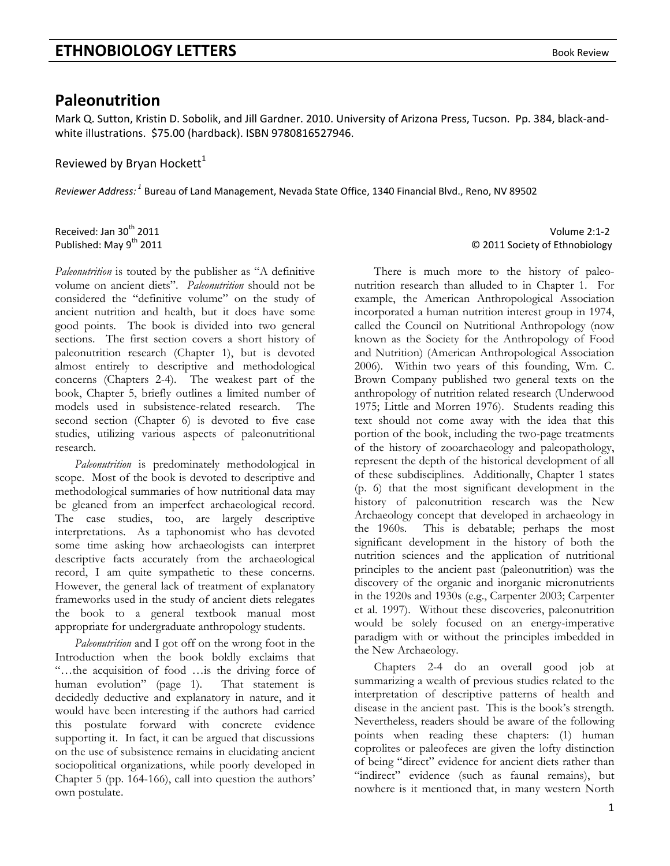## **Paleonutrition**

Mark Q. Sutton, Kristin D. Sobolik, and Jill Gardner. 2010. University of Arizona Press, Tucson. Pp. 384, black‐and‐ white illustrations. \$75.00 (hardback). ISBN 9780816527946.

Reviewed by Bryan Hockett<sup>1</sup>

*Reviewer Address: <sup>1</sup>* Bureau of Land Management, Nevada State Office, 1340 Financial Blvd., Reno, NV 89502

*Paleonutrition* is touted by the publisher as "A definitive volume on ancient diets". *Paleonutrition* should not be considered the "definitive volume" on the study of ancient nutrition and health, but it does have some good points. The book is divided into two general sections. The first section covers a short history of paleonutrition research (Chapter 1), but is devoted almost entirely to descriptive and methodological concerns (Chapters 2-4). The weakest part of the book, Chapter 5, briefly outlines a limited number of models used in subsistence-related research. The second section (Chapter 6) is devoted to five case studies, utilizing various aspects of paleonutritional research.

*Paleonutrition* is predominately methodological in scope. Most of the book is devoted to descriptive and methodological summaries of how nutritional data may be gleaned from an imperfect archaeological record. The case studies, too, are largely descriptive interpretations. As a taphonomist who has devoted some time asking how archaeologists can interpret descriptive facts accurately from the archaeological record, I am quite sympathetic to these concerns. However, the general lack of treatment of explanatory frameworks used in the study of ancient diets relegates the book to a general textbook manual most appropriate for undergraduate anthropology students.

*Paleonutrition* and I got off on the wrong foot in the Introduction when the book boldly exclaims that "…the acquisition of food …is the driving force of human evolution" (page 1). That statement is decidedly deductive and explanatory in nature, and it would have been interesting if the authors had carried this postulate forward with concrete evidence supporting it. In fact, it can be argued that discussions on the use of subsistence remains in elucidating ancient sociopolitical organizations, while poorly developed in Chapter 5 (pp. 164-166), call into question the authors' own postulate.

Received: Jan 30th 2011 Volume 2:1‐2 Published: May 9th 2011 © 2011 Society of Ethnobiology

> There is much more to the history of paleonutrition research than alluded to in Chapter 1. For example, the American Anthropological Association incorporated a human nutrition interest group in 1974, called the Council on Nutritional Anthropology (now known as the Society for the Anthropology of Food and Nutrition) (American Anthropological Association 2006). Within two years of this founding, Wm. C. Brown Company published two general texts on the anthropology of nutrition related research (Underwood 1975; Little and Morren 1976). Students reading this text should not come away with the idea that this portion of the book, including the two-page treatments of the history of zooarchaeology and paleopathology, represent the depth of the historical development of all of these subdisciplines. Additionally, Chapter 1 states (p. 6) that the most significant development in the history of paleonutrition research was the New Archaeology concept that developed in archaeology in the 1960s. This is debatable; perhaps the most significant development in the history of both the nutrition sciences and the application of nutritional principles to the ancient past (paleonutrition) was the discovery of the organic and inorganic micronutrients in the 1920s and 1930s (e.g., Carpenter 2003; Carpenter et al. 1997). Without these discoveries, paleonutrition would be solely focused on an energy-imperative paradigm with or without the principles imbedded in the New Archaeology.

> Chapters 2-4 do an overall good job at summarizing a wealth of previous studies related to the interpretation of descriptive patterns of health and disease in the ancient past. This is the book's strength. Nevertheless, readers should be aware of the following points when reading these chapters: (1) human coprolites or paleofeces are given the lofty distinction of being "direct" evidence for ancient diets rather than "indirect" evidence (such as faunal remains), but nowhere is it mentioned that, in many western North